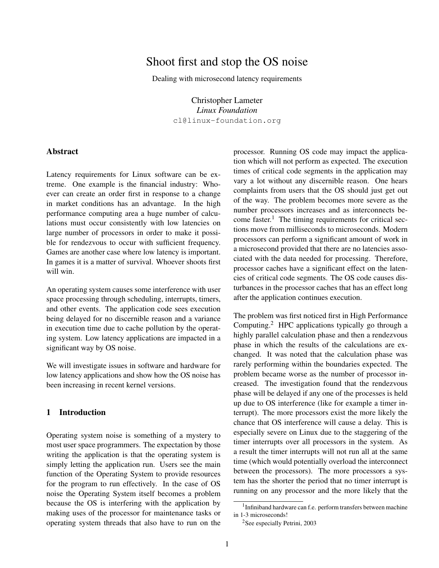# Shoot first and stop the OS noise

Dealing with microsecond latency requirements

Christopher Lameter *Linux Foundation* cl@linux-foundation.org

### Abstract

Latency requirements for Linux software can be extreme. One example is the financial industry: Whoever can create an order first in response to a change in market conditions has an advantage. In the high performance computing area a huge number of calculations must occur consistently with low latencies on large number of processors in order to make it possible for rendezvous to occur with sufficient frequency. Games are another case where low latency is important. In games it is a matter of survival. Whoever shoots first will win.

An operating system causes some interference with user space processing through scheduling, interrupts, timers, and other events. The application code sees execution being delayed for no discernible reason and a variance in execution time due to cache pollution by the operating system. Low latency applications are impacted in a significant way by OS noise.

We will investigate issues in software and hardware for low latency applications and show how the OS noise has been increasing in recent kernel versions.

# 1 Introduction

Operating system noise is something of a mystery to most user space programmers. The expectation by those writing the application is that the operating system is simply letting the application run. Users see the main function of the Operating System to provide resources for the program to run effectively. In the case of OS noise the Operating System itself becomes a problem because the OS is interfering with the application by making uses of the processor for maintenance tasks or operating system threads that also have to run on the processor. Running OS code may impact the application which will not perform as expected. The execution times of critical code segments in the application may vary a lot without any discernible reason. One hears complaints from users that the OS should just get out of the way. The problem becomes more severe as the number processors increases and as interconnects become faster.<sup>1</sup> The timing requirements for critical sections move from milliseconds to microseconds. Modern processors can perform a significant amount of work in a microsecond provided that there are no latencies associated with the data needed for processing. Therefore, processor caches have a significant effect on the latencies of critical code segments. The OS code causes disturbances in the processor caches that has an effect long after the application continues execution.

The problem was first noticed first in High Performance Computing.<sup>2</sup> HPC applications typically go through a highly parallel calculation phase and then a rendezvous phase in which the results of the calculations are exchanged. It was noted that the calculation phase was rarely performing within the boundaries expected. The problem became worse as the number of processor increased. The investigation found that the rendezvous phase will be delayed if any one of the processes is held up due to OS interference (like for example a timer interrupt). The more processors exist the more likely the chance that OS interference will cause a delay. This is especially severe on Linux due to the staggering of the timer interrupts over all processors in the system. As a result the timer interrupts will not run all at the same time (which would potentially overload the interconnect between the processors). The more processors a system has the shorter the period that no timer interrupt is running on any processor and the more likely that the

<sup>&</sup>lt;sup>1</sup> Infiniband hardware can f.e. perform transfers between machine in 1-3 microseconds!

<sup>2</sup>See especially Petrini, 2003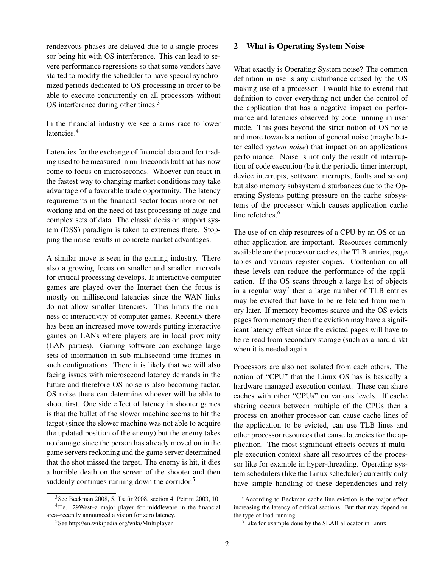rendezvous phases are delayed due to a single processor being hit with OS interference. This can lead to severe performance regressions so that some vendors have started to modify the scheduler to have special synchronized periods dedicated to OS processing in order to be able to execute concurrently on all processors without OS interference during other times.<sup>3</sup>

In the financial industry we see a arms race to lower latencies.<sup>4</sup>

Latencies for the exchange of financial data and for trading used to be measured in milliseconds but that has now come to focus on microseconds. Whoever can react in the fastest way to changing market conditions may take advantage of a favorable trade opportunity. The latency requirements in the financial sector focus more on networking and on the need of fast processing of huge and complex sets of data. The classic decision support system (DSS) paradigm is taken to extremes there. Stopping the noise results in concrete market advantages.

A similar move is seen in the gaming industry. There also a growing focus on smaller and smaller intervals for critical processing develops. If interactive computer games are played over the Internet then the focus is mostly on millisecond latencies since the WAN links do not allow smaller latencies. This limits the richness of interactivity of computer games. Recently there has been an increased move towards putting interactive games on LANs where players are in local proximity (LAN parties). Gaming software can exchange large sets of information in sub millisecond time frames in such configurations. There it is likely that we will also facing issues with microsecond latency demands in the future and therefore OS noise is also becoming factor. OS noise there can determine whoever will be able to shoot first. One side effect of latency in shooter games is that the bullet of the slower machine seems to hit the target (since the slower machine was not able to acquire the updated position of the enemy) but the enemy takes no damage since the person has already moved on in the game servers reckoning and the game server determined that the shot missed the target. The enemy is hit, it dies a horrible death on the screen of the shooter and then suddenly continues running down the corridor.<sup>5</sup>

#### 2 What is Operating System Noise

What exactly is Operating System noise? The common definition in use is any disturbance caused by the OS making use of a processor. I would like to extend that definition to cover everything not under the control of the application that has a negative impact on performance and latencies observed by code running in user mode. This goes beyond the strict notion of OS noise and more towards a notion of general noise (maybe better called *system noise*) that impact on an applications performance. Noise is not only the result of interruption of code execution (be it the periodic timer interrupt, device interrupts, software interrupts, faults and so on) but also memory subsystem disturbances due to the Operating Systems putting pressure on the cache subsystems of the processor which causes application cache line refetches.<sup>6</sup>

The use of on chip resources of a CPU by an OS or another application are important. Resources commonly available are the processor caches, the TLB entries, page tables and various register copies. Contention on all these levels can reduce the performance of the application. If the OS scans through a large list of objects in a regular way<sup>7</sup> then a large number of TLB entries may be evicted that have to be re fetched from memory later. If memory becomes scarce and the OS evicts pages from memory then the eviction may have a significant latency effect since the evicted pages will have to be re-read from secondary storage (such as a hard disk) when it is needed again.

Processors are also not isolated from each others. The notion of "CPU" that the Linux OS has is basically a hardware managed execution context. These can share caches with other "CPUs" on various levels. If cache sharing occurs between multiple of the CPUs then a process on another processor can cause cache lines of the application to be evicted, can use TLB lines and other processor resources that cause latencies for the application. The most significant effects occurs if multiple execution context share all resources of the processor like for example in hyper-threading. Operating system schedulers (like the Linux scheduler) currently only have simple handling of these dependencies and rely

 $3$ See Beckman 2008, 5. Tsafir 2008, section 4. Petrini 2003, 10 <sup>4</sup>F.e. 29West–a major player for middleware in the financial area–recently announced a vision for zero latency.

<sup>5</sup>See http://en.wikipedia.org/wiki/Multiplayer

<sup>6</sup>According to Beckman cache line eviction is the major effect increasing the latency of critical sections. But that may depend on the type of load running.

 $7$ Like for example done by the SLAB allocator in Linux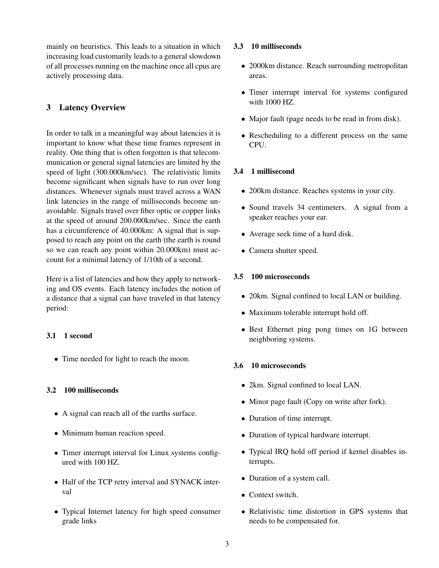mainly on heuristics. This leads to a situation in which increasing load customarily leads to a general slowdown of all processes running on the machine once all cpus are actively processing data.

# 3 Latency Overview

In order to talk in a meaningful way about latencies it is important to know what these time frames represent in reality. One thing that is often forgotten is that telecommunication or general signal latencies are limited by the speed of light (300.000km/sec). The relativistic limits become significant when signals have to run over long distances. Whenever signals must travel across a WAN link latencies in the range of milliseconds become unavoidable. Signals travel over fiber optic or copper links at the speed of around 200.000km/sec. Since the earth has a circumference of 40.000km: A signal that is supposed to reach any point on the earth (the earth is round so we can reach any point within 20.000km) must account for a minimal latency of 1/10th of a second.

Here is a list of latencies and how they apply to networking and OS events. Each latency includes the notion of a distance that a signal can have traveled in that latency period:

# 3.1 1 second

• Time needed for light to reach the moon.

# 3.2 100 milliseconds

- A signal can reach all of the earths surface.
- Minimum human reaction speed.
- Timer interrupt interval for Linux systems configured with 100 HZ.
- Half of the TCP retry interval and SYNACK interval
- Typical Internet latency for high speed consumer grade links

#### 3.3 10 milliseconds

- 2000km distance. Reach surrounding metropolitan areas.
- Timer interrupt interval for systems configured with 1000 HZ.
- Major fault (page needs to be read in from disk).
- Rescheduling to a different process on the same CPU.

# 3.4 1 millisecond

- 200km distance. Reaches systems in your city.
- Sound travels 34 centimeters. A signal from a speaker reaches your ear.
- Average seek time of a hard disk.
- Camera shutter speed.

# 3.5 100 microseconds

- 20km. Signal confined to local LAN or building.
- Maximum tolerable interrupt hold off.
- Best Ethernet ping pong times on 1G between neighboring systems.

# 3.6 10 microseconds

- 2km. Signal confined to local LAN.
- Minor page fault (Copy on write after fork).
- Duration of time interrupt.
- Duration of typical hardware interrupt.
- Typical IRQ hold off period if kernel disables interrupts.
- Duration of a system call.
- Context switch.
- Relativistic time distortion in GPS systems that needs to be compensated for.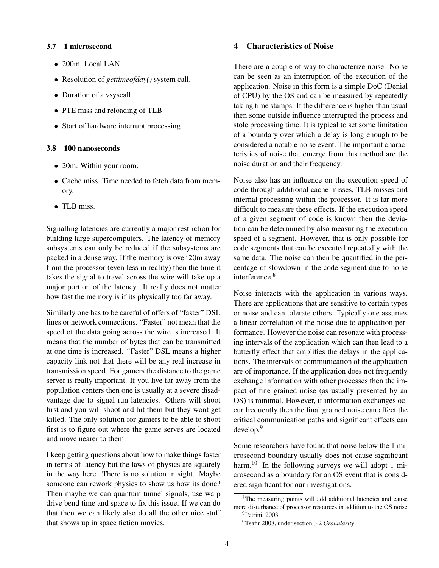#### 3.7 1 microsecond

- 200m. Local LAN.
- Resolution of *gettimeofday()* system call.
- Duration of a vsyscall
- PTE miss and reloading of TLB
- Start of hardware interrupt processing

#### 3.8 100 nanoseconds

- 20m. Within your room.
- Cache miss. Time needed to fetch data from memory.
- TLB miss.

Signalling latencies are currently a major restriction for building large supercomputers. The latency of memory subsystems can only be reduced if the subsystems are packed in a dense way. If the memory is over 20m away from the processor (even less in reality) then the time it takes the signal to travel across the wire will take up a major portion of the latency. It really does not matter how fast the memory is if its physically too far away.

Similarly one has to be careful of offers of "faster" DSL lines or network connections. "Faster" not mean that the speed of the data going across the wire is increased. It means that the number of bytes that can be transmitted at one time is increased. "Faster" DSL means a higher capacity link not that there will be any real increase in transmission speed. For gamers the distance to the game server is really important. If you live far away from the population centers then one is usually at a severe disadvantage due to signal run latencies. Others will shoot first and you will shoot and hit them but they wont get killed. The only solution for gamers to be able to shoot first is to figure out where the game serves are located and move nearer to them.

I keep getting questions about how to make things faster in terms of latency but the laws of physics are squarely in the way here. There is no solution in sight. Maybe someone can rework physics to show us how its done? Then maybe we can quantum tunnel signals, use warp drive bend time and space to fix this issue. If we can do that then we can likely also do all the other nice stuff that shows up in space fiction movies.

#### 4 Characteristics of Noise

There are a couple of way to characterize noise. Noise can be seen as an interruption of the execution of the application. Noise in this form is a simple DoC (Denial of CPU) by the OS and can be measured by repeatedly taking time stamps. If the difference is higher than usual then some outside influence interrupted the process and stole processing time. It is typical to set some limitation of a boundary over which a delay is long enough to be considered a notable noise event. The important characteristics of noise that emerge from this method are the noise duration and their frequency.

Noise also has an influence on the execution speed of code through additional cache misses, TLB misses and internal processing within the processor. It is far more difficult to measure these effects. If the execution speed of a given segment of code is known then the deviation can be determined by also measuring the execution speed of a segment. However, that is only possible for code segments that can be executed repeatedly with the same data. The noise can then be quantified in the percentage of slowdown in the code segment due to noise interference.<sup>8</sup>

Noise interacts with the application in various ways. There are applications that are sensitive to certain types or noise and can tolerate others. Typically one assumes a linear correlation of the noise due to application performance. However the noise can resonate with processing intervals of the application which can then lead to a butterfly effect that amplifies the delays in the applications. The intervals of communication of the application are of importance. If the application does not frequently exchange information with other processes then the impact of fine grained noise (as usually presented by an OS) is minimal. However, if information exchanges occur frequently then the final grained noise can affect the critical communication paths and significant effects can develop.<sup>9</sup>

Some researchers have found that noise below the 1 microsecond boundary usually does not cause significant harm.<sup>10</sup> In the following surveys we will adopt 1 microsecond as a boundary for an OS event that is considered significant for our investigations.

<sup>&</sup>lt;sup>8</sup>The measuring points will add additional latencies and cause more disturbance of processor resources in addition to the OS noise <sup>9</sup>Petrini, 2003

<sup>10</sup>Tsafir 2008, under section 3.2 *Granularity*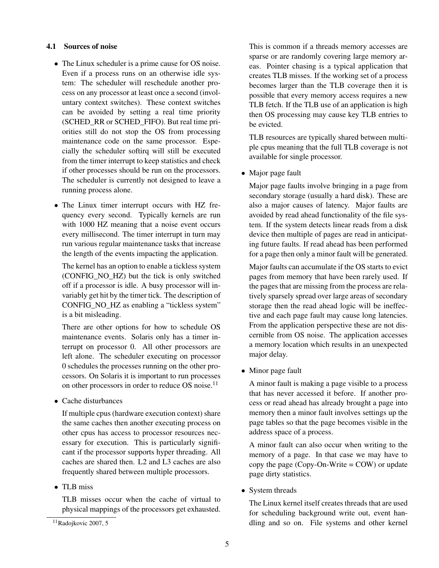#### 4.1 Sources of noise

- The Linux scheduler is a prime cause for OS noise. Even if a process runs on an otherwise idle system: The scheduler will reschedule another process on any processor at least once a second (involuntary context switches). These context switches can be avoided by setting a real time priority (SCHED\_RR or SCHED\_FIFO). But real time priorities still do not stop the OS from processing maintenance code on the same processor. Especially the scheduler softirq will still be executed from the timer interrupt to keep statistics and check if other processes should be run on the processors. The scheduler is currently not designed to leave a running process alone.
- The Linux timer interrupt occurs with HZ frequency every second. Typically kernels are run with 1000 HZ meaning that a noise event occurs every millisecond. The timer interrupt in turn may run various regular maintenance tasks that increase the length of the events impacting the application.

The kernel has an option to enable a tickless system (CONFIG\_NO\_HZ) but the tick is only switched off if a processor is idle. A busy processor will invariably get hit by the timer tick. The description of CONFIG\_NO\_HZ as enabling a "tickless system" is a bit misleading.

There are other options for how to schedule OS maintenance events. Solaris only has a timer interrupt on processor 0. All other processors are left alone. The scheduler executing on processor 0 schedules the processes running on the other processors. On Solaris it is important to run processes on other processors in order to reduce OS noise.<sup>11</sup>

• Cache disturbances

If multiple cpus (hardware execution context) share the same caches then another executing process on other cpus has access to processor resources necessary for execution. This is particularly significant if the processor supports hyper threading. All caches are shared then. L2 and L3 caches are also frequently shared between multiple processors.

# • TLB miss

TLB misses occur when the cache of virtual to physical mappings of the processors get exhausted. This is common if a threads memory accesses are sparse or are randomly covering large memory areas. Pointer chasing is a typical application that creates TLB misses. If the working set of a process becomes larger than the TLB coverage then it is possible that every memory access requires a new TLB fetch. If the TLB use of an application is high then OS processing may cause key TLB entries to be evicted.

TLB resources are typically shared between multiple cpus meaning that the full TLB coverage is not available for single processor.

• Major page fault

Major page faults involve bringing in a page from secondary storage (usually a hard disk). These are also a major causes of latency. Major faults are avoided by read ahead functionality of the file system. If the system detects linear reads from a disk device then multiple of pages are read in anticipating future faults. If read ahead has been performed for a page then only a minor fault will be generated.

Major faults can accumulate if the OS starts to evict pages from memory that have been rarely used. If the pages that are missing from the process are relatively sparsely spread over large areas of secondary storage then the read ahead logic will be ineffective and each page fault may cause long latencies. From the application perspective these are not discernible from OS noise. The application accesses a memory location which results in an unexpected major delay.

• Minor page fault

A minor fault is making a page visible to a process that has never accessed it before. If another process or read ahead has already brought a page into memory then a minor fault involves settings up the page tables so that the page becomes visible in the address space of a process.

A minor fault can also occur when writing to the memory of a page. In that case we may have to copy the page (Copy-On-Write = COW) or update page dirty statistics.

• System threads

The Linux kernel itself creates threads that are used for scheduling background write out, event handling and so on. File systems and other kernel

<sup>11</sup>Radojkovic 2007, 5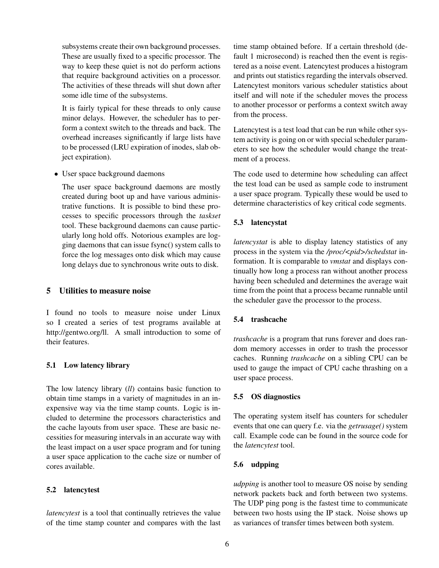subsystems create their own background processes. These are usually fixed to a specific processor. The way to keep these quiet is not do perform actions that require background activities on a processor. The activities of these threads will shut down after some idle time of the subsystems.

It is fairly typical for these threads to only cause minor delays. However, the scheduler has to perform a context switch to the threads and back. The overhead increases significantly if large lists have to be processed (LRU expiration of inodes, slab object expiration).

• User space background daemons

The user space background daemons are mostly created during boot up and have various administrative functions. It is possible to bind these processes to specific processors through the *taskset* tool. These background daemons can cause particularly long hold offs. Notorious examples are logging daemons that can issue fsync() system calls to force the log messages onto disk which may cause long delays due to synchronous write outs to disk.

#### 5 Utilities to measure noise

I found no tools to measure noise under Linux so I created a series of test programs available at http://gentwo.org/ll. A small introduction to some of their features.

# 5.1 Low latency library

The low latency library (*ll*) contains basic function to obtain time stamps in a variety of magnitudes in an inexpensive way via the time stamp counts. Logic is included to determine the processors characteristics and the cache layouts from user space. These are basic necessities for measuring intervals in an accurate way with the least impact on a user space program and for tuning a user space application to the cache size or number of cores available.

# 5.2 latencytest

*latencytest* is a tool that continually retrieves the value of the time stamp counter and compares with the last time stamp obtained before. If a certain threshold (default 1 microsecond) is reached then the event is registered as a noise event. Latencytest produces a histogram and prints out statistics regarding the intervals observed. Latencytest monitors various scheduler statistics about itself and will note if the scheduler moves the process to another processor or performs a context switch away from the process.

Latencytest is a test load that can be run while other system activity is going on or with special scheduler parameters to see how the scheduler would change the treatment of a process.

The code used to determine how scheduling can affect the test load can be used as sample code to instrument a user space program. Typically these would be used to determine characteristics of key critical code segments.

# 5.3 latencystat

*latencystat* is able to display latency statistics of any process in the system via the /proc/<pid>/schedstat information. It is comparable to *vmstat* and displays continually how long a process ran without another process having been scheduled and determines the average wait time from the point that a process became runnable until the scheduler gave the processor to the process.

# 5.4 trashcache

*trashcache* is a program that runs forever and does random memory accesses in order to trash the processor caches. Running *trashcache* on a sibling CPU can be used to gauge the impact of CPU cache thrashing on a user space process.

# 5.5 OS diagnostics

The operating system itself has counters for scheduler events that one can query f.e. via the *getrusage()* system call. Example code can be found in the source code for the *latencytest* tool.

# 5.6 udpping

*udpping* is another tool to measure OS noise by sending network packets back and forth between two systems. The UDP ping pong is the fastest time to communicate between two hosts using the IP stack. Noise shows up as variances of transfer times between both system.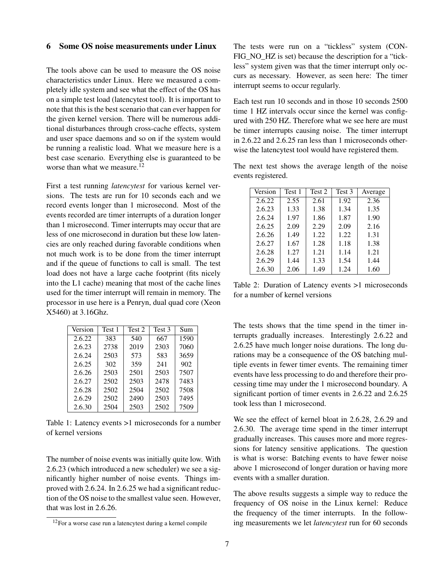# 6 Some OS noise measurements under Linux

The tools above can be used to measure the OS noise characteristics under Linux. Here we measured a completely idle system and see what the effect of the OS has on a simple test load (latencytest tool). It is important to note that this is the best scenario that can ever happen for the given kernel version. There will be numerous additional disturbances through cross-cache effects, system and user space daemons and so on if the system would be running a realistic load. What we measure here is a best case scenario. Everything else is guaranteed to be worse than what we measure.<sup>12</sup>

First a test running *latencytest* for various kernel versions. The tests are run for 10 seconds each and we record events longer than 1 microsecond. Most of the events recorded are timer interrupts of a duration longer than 1 microsecond. Timer interrupts may occur that are less of one microsecond in duration but these low latencies are only reached during favorable conditions when not much work is to be done from the timer interrupt and if the queue of functions to call is small. The test load does not have a large cache footprint (fits nicely into the L1 cache) meaning that most of the cache lines used for the timer interrupt will remain in memory. The processor in use here is a Penryn, dual quad core (Xeon X5460) at 3.16Ghz.

| Version | Test 1 | Test 2 | Test 3 | Sum  |
|---------|--------|--------|--------|------|
| 2.6.22  | 383    | 540    | 667    | 1590 |
| 2.6.23  | 2738   | 2019   | 2303   | 7060 |
| 2.6.24  | 2503   | 573    | 583    | 3659 |
| 2.6.25  | 302    | 359    | 241    | 902  |
| 2.6.26  | 2503   | 2501   | 2503   | 7507 |
| 2.6.27  | 2502   | 2503   | 2478   | 7483 |
| 2.6.28  | 2502   | 2504   | 2502   | 7508 |
| 2.6.29  | 2502   | 2490   | 2503   | 7495 |
| 2.6.30  | 2504   | 2503   | 2502   | 7509 |

Table 1: Latency events >1 microseconds for a number of kernel versions

The number of noise events was initially quite low. With 2.6.23 (which introduced a new scheduler) we see a significantly higher number of noise events. Things improved with 2.6.24. In 2.6.25 we had a significant reduction of the OS noise to the smallest value seen. However, that was lost in 2.6.26.

The tests were run on a "tickless" system (CON-FIG NO HZ is set) because the description for a "tickless" system given was that the timer interrupt only occurs as necessary. However, as seen here: The timer interrupt seems to occur regularly.

Each test run 10 seconds and in those 10 seconds 2500 time 1 HZ intervals occur since the kernel was configured with 250 HZ. Therefore what we see here are must be timer interrupts causing noise. The timer interrupt in 2.6.22 and 2.6.25 ran less than 1 microseconds otherwise the latencytest tool would have registered them.

The next test shows the average length of the noise events registered.

| Version | Test 1 | Test 2 | Test 3 | Average |
|---------|--------|--------|--------|---------|
| 2.6.22  | 2.55   | 2.61   | 1.92   | 2.36    |
| 2.6.23  | 1.33   | 1.38   | 1.34   | 1.35    |
| 2.6.24  | 1.97   | 1.86   | 1.87   | 1.90    |
| 2.6.25  | 2.09   | 2.29   | 2.09   | 2.16    |
| 2.6.26  | 1.49   | 1.22   | 1.22   | 1.31    |
| 2.6.27  | 1.67   | 1.28   | 1.18   | 1.38    |
| 2.6.28  | 1.27   | 1.21   | 1.14   | 1.21    |
| 2.6.29  | 1.44   | 1.33   | 1.54   | 1.44    |
| 2.6.30  | 2.06   | 1.49   | 1.24   | 1.60    |

Table 2: Duration of Latency events >1 microseconds for a number of kernel versions

The tests shows that the time spend in the timer interrupts gradually increases. Interestingly 2.6.22 and 2.6.25 have much longer noise durations. The long durations may be a consequence of the OS batching multiple events in fewer timer events. The remaining timer events have less processing to do and therefore their processing time may under the 1 microsecond boundary. A significant portion of timer events in 2.6.22 and 2.6.25 took less than 1 microsecond.

We see the effect of kernel bloat in 2.6.28, 2.6.29 and 2.6.30. The average time spend in the timer interrupt gradually increases. This causes more and more regressions for latency sensitive applications. The question is what is worse: Batching events to have fewer noise above 1 microsecond of longer duration or having more events with a smaller duration.

The above results suggests a simple way to reduce the frequency of OS noise in the Linux kernel: Reduce the frequency of the timer interrupts. In the following measurements we let *latencytest* run for 60 seconds

<sup>12</sup>For a worse case run a latencytest during a kernel compile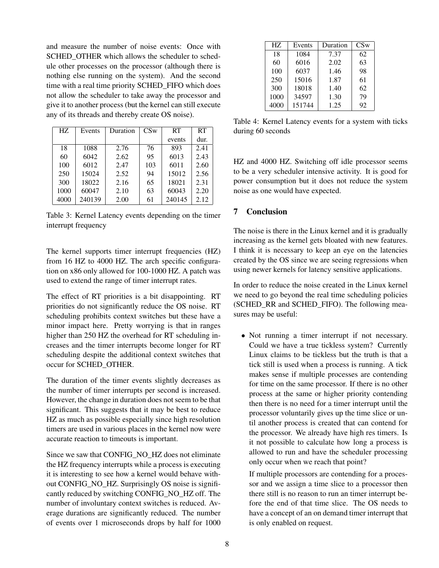and measure the number of noise events: Once with SCHED\_OTHER which allows the scheduler to schedule other processes on the processor (although there is nothing else running on the system). And the second time with a real time priority SCHED\_FIFO which does not allow the scheduler to take away the processor and give it to another process (but the kernel can still execute any of its threads and thereby create OS noise).

| HZ   | Events | Duration | CSw | <b>RT</b> | RT   |
|------|--------|----------|-----|-----------|------|
|      |        |          |     | events    | dur. |
| 18   | 1088   | 2.76     | 76  | 893       | 2.41 |
| 60   | 6042   | 2.62     | 95  | 6013      | 2.43 |
| 100  | 6012   | 2.47     | 103 | 6011      | 2.60 |
| 250  | 15024  | 2.52     | 94  | 15012     | 2.56 |
| 300  | 18022  | 2.16     | 65  | 18021     | 2.31 |
| 1000 | 60047  | 2.10     | 63  | 60043     | 2.20 |
| 4000 | 240139 | 2.00     | 61  | 240145    | 2.12 |

Table 3: Kernel Latency events depending on the timer interrupt frequency

The kernel supports timer interrupt frequencies (HZ) from 16 HZ to 4000 HZ. The arch specific configuration on x86 only allowed for 100-1000 HZ. A patch was used to extend the range of timer interrupt rates.

The effect of RT priorities is a bit disappointing. RT priorities do not significantly reduce the OS noise. RT scheduling prohibits context switches but these have a minor impact here. Pretty worrying is that in ranges higher than 250 HZ the overhead for RT scheduling increases and the timer interrupts become longer for RT scheduling despite the additional context switches that occur for SCHED\_OTHER.

The duration of the timer events slightly decreases as the number of timer interrupts per second is increased. However, the change in duration does not seem to be that significant. This suggests that it may be best to reduce HZ as much as possible especially since high resolution timers are used in various places in the kernel now were accurate reaction to timeouts is important.

Since we saw that CONFIG\_NO\_HZ does not eliminate the HZ frequency interrupts while a process is executing it is interesting to see how a kernel would behave without CONFIG\_NO\_HZ. Surprisingly OS noise is significantly reduced by switching CONFIG\_NO\_HZ off. The number of involuntary context switches is reduced. Average durations are significantly reduced. The number of events over 1 microseconds drops by half for 1000

| HZ.  | Events | Duration | CSw |
|------|--------|----------|-----|
| 18   | 1084   | 7.37     | 62  |
| 60   | 6016   | 2.02     | 63  |
| 100  | 6037   | 1.46     | 98  |
| 250  | 15016  | 1.87     | 61  |
| 300  | 18018  | 1.40     | 62  |
| 1000 | 34597  | 1.30     | 79  |
| 4000 | 151744 | 1.25     | 92  |

Table 4: Kernel Latency events for a system with ticks during 60 seconds

HZ and 4000 HZ. Switching off idle processor seems to be a very scheduler intensive activity. It is good for power consumption but it does not reduce the system noise as one would have expected.

# 7 Conclusion

The noise is there in the Linux kernel and it is gradually increasing as the kernel gets bloated with new features. I think it is necessary to keep an eye on the latencies created by the OS since we are seeing regressions when using newer kernels for latency sensitive applications.

In order to reduce the noise created in the Linux kernel we need to go beyond the real time scheduling policies (SCHED\_RR and SCHED\_FIFO). The following measures may be useful:

• Not running a timer interrupt if not necessary. Could we have a true tickless system? Currently Linux claims to be tickless but the truth is that a tick still is used when a process is running. A tick makes sense if multiple processes are contending for time on the same processor. If there is no other process at the same or higher priority contending then there is no need for a timer interrupt until the processor voluntarily gives up the time slice or until another process is created that can contend for the processor. We already have high res timers. Is it not possible to calculate how long a process is allowed to run and have the scheduler processing only occur when we reach that point?

If multiple processors are contending for a processor and we assign a time slice to a processor then there still is no reason to run an timer interrupt before the end of that time slice. The OS needs to have a concept of an on demand timer interrupt that is only enabled on request.